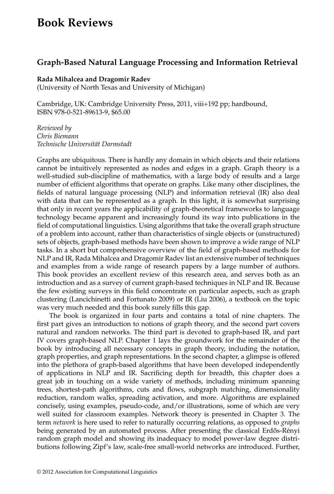## **Book Reviews**

## **Graph-Based Natural Language Processing and Information Retrieval**

## **Rada Mihalcea and Dragomir Radev**

(University of North Texas and University of Michigan)

Cambridge, UK: Cambridge University Press, 2011, viii+192 pp; hardbound, ISBN 978-0-521-89613-9, \$65.00

*Reviewed by Chris Biemann Technische Universit¨at Darmstadt*

Graphs are ubiquitous. There is hardly any domain in which objects and their relations cannot be intuitively represented as nodes and edges in a graph. Graph theory is a well-studied sub-discipline of mathematics, with a large body of results and a large number of efficient algorithms that operate on graphs. Like many other disciplines, the fields of natural language processing (NLP) and information retrieval (IR) also deal with data that can be represented as a graph. In this light, it is somewhat surprising that only in recent years the applicability of graph-theoretical frameworks to language technology became apparent and increasingly found its way into publications in the field of computational linguistics. Using algorithms that take the overall graph structure of a problem into account, rather than characteristics of single objects or (unstructured) sets of objects, graph-based methods have been shown to improve a wide range of NLP tasks. In a short but comprehensive overview of the field of graph-based methods for NLP and IR, Rada Mihalcea and Dragomir Radev list an extensive number of techniques and examples from a wide range of research papers by a large number of authors. This book provides an excellent review of this research area, and serves both as an introduction and as a survey of current graph-based techniques in NLP and IR. Because the few existing surveys in this field concentrate on particular aspects, such as graph clustering (Lancichinetti and Fortunato 2009) or IR (Liu 2006), a textbook on the topic was very much needed and this book surely fills this gap.

The book is organized in four parts and contains a total of nine chapters. The first part gives an introduction to notions of graph theory, and the second part covers natural and random networks. The third part is devoted to graph-based IR, and part IV covers graph-based NLP. Chapter 1 lays the groundwork for the remainder of the book by introducing all necessary concepts in graph theory, including the notation, graph properties, and graph representations. In the second chapter, a glimpse is offered into the plethora of graph-based algorithms that have been developed independently of applications in NLP and IR. Sacrificing depth for breadth, this chapter does a great job in touching on a wide variety of methods, including minimum spanning trees, shortest-path algorithms, cuts and flows, subgraph matching, dimensionality reduction, random walks, spreading activation, and more. Algorithms are explained concisely, using examples, pseudo-code, and/or illustrations, some of which are very well suited for classroom examples. Network theory is presented in Chapter 3. The term *network* is here used to refer to naturally occurring relations, as opposed to *graphs* being generated by an automated process. After presenting the classical Erdős-Rényi random graph model and showing its inadequacy to model power-law degree distributions following Zipf's law, scale-free small-world networks are introduced. Further,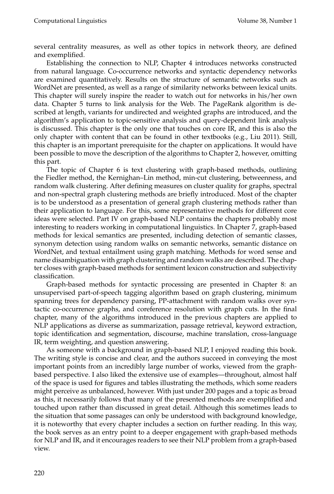several centrality measures, as well as other topics in network theory, are defined and exemplified.

Establishing the connection to NLP, Chapter 4 introduces networks constructed from natural language. Co-occurrence networks and syntactic dependency networks are examined quantitatively. Results on the structure of semantic networks such as WordNet are presented, as well as a range of similarity networks between lexical units. This chapter will surely inspire the reader to watch out for networks in his/her own data. Chapter 5 turns to link analysis for the Web. The PageRank algorithm is described at length, variants for undirected and weighted graphs are introduced, and the algorithm's application to topic-sensitive analysis and query-dependent link analysis is discussed. This chapter is the only one that touches on core IR, and this is also the only chapter with content that can be found in other textbooks (e.g., Liu 2011). Still, this chapter is an important prerequisite for the chapter on applications. It would have been possible to move the description of the algorithms to Chapter 2, however, omitting this part.

The topic of Chapter 6 is text clustering with graph-based methods, outlining the Fiedler method, the Kernighan–Lin method, min-cut clustering, betweenness, and random walk clustering. After defining measures on cluster quality for graphs, spectral and non-spectral graph clustering methods are briefly introduced. Most of the chapter is to be understood as a presentation of general graph clustering methods rather than their application to language. For this, some representative methods for different core ideas were selected. Part IV on graph-based NLP contains the chapters probably most interesting to readers working in computational linguistics. In Chapter 7, graph-based methods for lexical semantics are presented, including detection of semantic classes, synonym detection using random walks on semantic networks, semantic distance on WordNet, and textual entailment using graph matching. Methods for word sense and name disambiguation with graph clustering and random walks are described. The chapter closes with graph-based methods for sentiment lexicon construction and subjectivity classification.

Graph-based methods for syntactic processing are presented in Chapter 8: an unsupervised part-of-speech tagging algorithm based on graph clustering, minimum spanning trees for dependency parsing, PP-attachment with random walks over syntactic co-occurrence graphs, and coreference resolution with graph cuts. In the final chapter, many of the algorithms introduced in the previous chapters are applied to NLP applications as diverse as summarization, passage retrieval, keyword extraction, topic identification and segmentation, discourse, machine translation, cross-language IR, term weighting, and question answering.

As someone with a background in graph-based NLP, I enjoyed reading this book. The writing style is concise and clear, and the authors succeed in conveying the most important points from an incredibly large number of works, viewed from the graphbased perspective. I also liked the extensive use of examples—throughout, almost half of the space is used for figures and tables illustrating the methods, which some readers might perceive as unbalanced, however. With just under 200 pages and a topic as broad as this, it necessarily follows that many of the presented methods are exemplified and touched upon rather than discussed in great detail. Although this sometimes leads to the situation that some passages can only be understood with background knowledge, it is noteworthy that every chapter includes a section on further reading. In this way, the book serves as an entry point to a deeper engagement with graph-based methods for NLP and IR, and it encourages readers to see their NLP problem from a graph-based view.